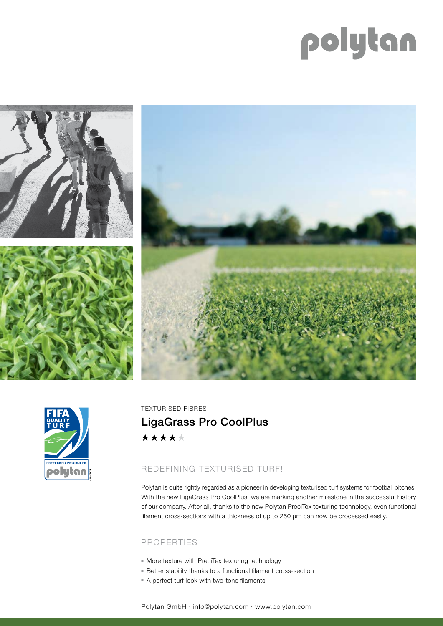# polytan







TEXTURISED FIBRES LigaGrass Pro CoolPlus\*\*\*\*\*

## REDEFINING TEXTURISED TURF!

Polytan is quite rightly regarded as a pioneer in developing texturised turf systems for football pitches. With the new LigaGrass Pro CoolPlus, we are marking another milestone in the successful history of our company. After all, thanks to the new Polytan PreciTex texturing technology, even functional filament cross-sections with a thickness of up to 250 µm can now be processed easily.

### PROPERTIES

- $\blacksquare$  More texture with PreciTex texturing technology
- Better stability thanks to a functional filament cross-section
- A perfect turf look with two-tone filaments